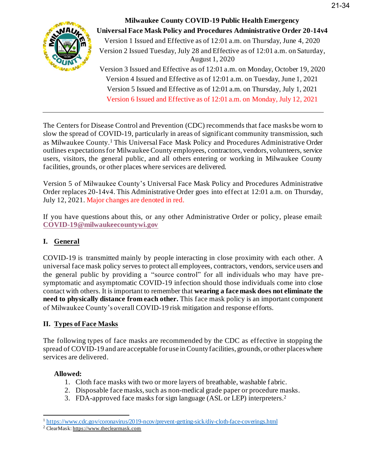

**Milwaukee County COVID-19 Public Health Emergency Universal Face Mask Policy and Procedures Administrative Order 20-14v4**  Version 1 Issued and Effective as of 12:01 a.m. on Thursday, June 4, 2020 Version 2 Issued Tuesday, July 28 and Effective as of 12:01 a.m. on Saturday, August 1, 2020 Version 3 Issued and Effective as of 12:01 a.m. on Monday, October 19, 2020 Version 4 Issued and Effective as of 12:01 a.m. on Tuesday, June 1, 2021 Version 5 Issued and Effective as of 12:01 a.m. on Thursday, July 1, 2021 Version 6 Issued and Effective as of 12:01 a.m. on Monday, July 12, 2021

The Centers for Disease Control and Prevention (CDC) recommends that face masks be worn to slow the spread of COVID-19, particularly in areas of significant community transmission, such as Milwaukee County.<sup>1</sup> This Universal Face Mask Policy and Procedures Administrative Order outlines expectations for Milwaukee County employees, contractors, vendors, volunteers, service users, visitors, the general public, and all others entering or working in Milwaukee County facilities, grounds, or other places where services are delivered.

Version 5 of Milwaukee County's Universal Face Mask Policy and Procedures Administrative Order replaces 20-14v4. This Administrative Order goes into effect at 12:01 a.m. on Thursday, July 12, 2021. Major changes are denoted in red.

If you have questions about this, or any other Administrative Order or policy, please email: **[COVID-19@milwaukeecountywi.gov](mailto:COVID-19@milwaukeecountywi.gov)**

# **I. General**

COVID-19 is transmitted mainly by people interacting in close proximity with each other. A universal face mask policy serves to protect all employees, contractors, vendors, service users and the general public by providing a "source control" for all individuals who may have presymptomatic and asymptomatic COVID-19 infection should those individuals come into close contact with others. It is important to remember that **wearing a face mask does not eliminate the need to physically distance from each other.** This face mask policy is an important component of Milwaukee County's overall COVID-19 risk mitigation and response efforts.

## **II. Types of Face Masks**

The following types of face masks are recommended by the CDC as effective in stopping the spread of COVID-19 and are acceptable for use in County facilities, grounds, or other places where services are delivered.

## **Allowed:**

- 1. Cloth face masks with two or more layers of breathable, washable f abric.
- 2. Disposable face masks, such as non-medical grade paper or procedure masks.
- 3. FDA-approved face masks for sign language (ASL or LEP) interpreters. 2

<sup>&</sup>lt;sup>1</sup> <https://www.cdc.gov/coronavirus/2019-ncov/prevent-getting-sick/diy-cloth-face-coverings.html>

<sup>2</sup> ClearMask: [https://www.theclearmask.com](https://gcc01.safelinks.protection.outlook.com/?url=https%3A%2F%2Fwww.theclearmask.com%2F&data=02%7C01%7Croberta.drews%40milwaukeecountywi.gov%7Cef681a4d43764e5ce4b808d869622841%7Cab0c01f619e54e299dab4d03f82b6495%7C0%7C1%7C637375217599660124&sdata=miVTZrzDFqva3fiwTnhV%2B%2F%2FqQLxXY69ABYhEI%2Fl9e%2Bw%3D&reserved=0)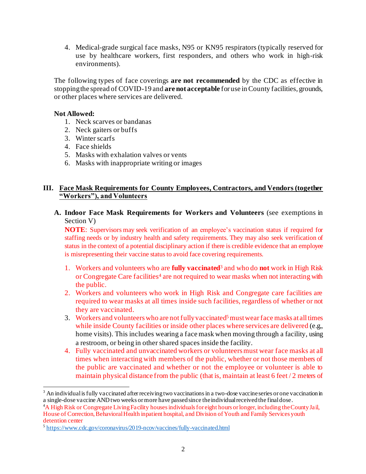4. Medical-grade surgical face masks, N95 or KN95 respirators (typically reserved for use by healthcare workers, first responders, and others who work in high-risk environments).

The following types of face coverings **are not recommended** by the CDC as effective in stopping the spread of COVID-19 and **are not acceptable** for use in County facilities, grounds, or other places where services are delivered.

#### **Not Allowed:**

- 1. Neck scarves or bandanas
- 2. Neck gaiters or buffs
- 3. Winter scarfs
- 4. Face shields
- 5. Masks with exhalation valves or vents
- 6. Masks with inappropriate writing or images

#### **III. Face Mask Requirements for County Employees, Contractors, and Vendors (together "Workers"), and Volunteers**

**A. Indoor Face Mask Requirements for Workers and Volunteers** (see exemptions in Section V)

**NOTE**: Supervisors may seek verification of an employee's vaccination status if required for staffing needs or by industry health and safety requirements. They may also seek verification of status in the context of a potential disciplinary action if there is credible evidence that an employee is misrepresenting their vaccine status to avoid face covering requirements.

- 1. Workers and volunteers who are **fully vaccinated**<sup>3</sup> and who do **not** work in High Risk or Congregate Care facilities<sup>4</sup> are not required to wear masks when not interacting with the public.
- 2. Workers and volunteers who work in High Risk and Congregate care facilities are required to wear masks at all times inside such facilities, regardless of whether or not they are vaccinated.
- 3. Workers and volunteers who are not fully vaccinated<sup>5</sup> must wear face masks at all times while inside County facilities or inside other places where services are delivered (e.g., home visits). This includes wearing a face mask when moving through a facility, using a restroom, or being in other shared spaces inside the facility.
- 4. Fully vaccinated and unvaccinated workers or volunteers must wear face masks at all times when interacting with members of the public, whether or not those members of the public are vaccinated and whether or not the employee or volunteer is able to maintain physical distance from the public (that is, maintain at least 6 feet / 2 meters of

<sup>&</sup>lt;sup>3</sup> An individual is fully vaccinated after receiving two vaccinations in a two-dose vaccine series or one vaccination in a single-dose vaccine ANDtwo weeks or more have passed since the individual received the final dose.

<sup>4</sup>A High Risk or Congregate Living Facility houses individuals for eight hours or longer, including the County Jail, House of Correction, Behavioral Health inpatient hospital, and Division of Youth and Family Services youth detention center

<sup>&</sup>lt;sup>5</sup> <https://www.cdc.gov/coronavirus/2019-ncov/vaccines/fully-vaccinated.html>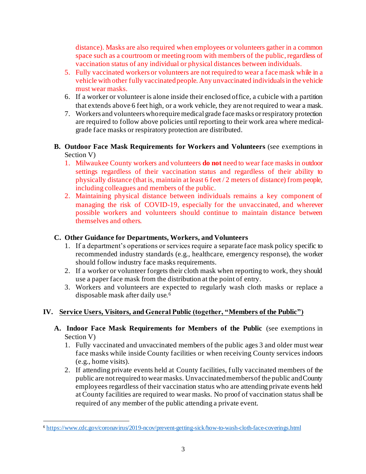distance). Masks are also required when employees or volunteers gather in a common space such as a courtroom or meeting room with members of the public, regardless of vaccination status of any individual or physical distances between individuals.

- 5. Fully vaccinated workers or volunteers are not required to wear a face mask while in a vehicle with other fully vaccinated people. Any unvaccinated individuals in the vehicle must wear masks.
- 6. If a worker or volunteer is alone inside their enclosed office, a cubicle with a partition that extends above 6 feet high, or a work vehicle, they are not required to wear a mask.
- 7. Workers and volunteers who require medical grade face masks or respiratory protection are required to follow above policies until reporting to their work area where medicalgrade face masks or respiratory protection are distributed.
- **B. Outdoor Face Mask Requirements for Workers and Volunteers** (see exemptions in Section V)
	- 1. Milwaukee County workers and volunteers **do not** need to wear face masks in outdoor settings regardless of their vaccination status and regardless of their ability to physically distance (that is, maintain at least 6 feet / 2 meters of distance) from people, including colleagues and members of the public.
	- 2. Maintaining physical distance between individuals remains a key component of managing the risk of COVID-19, especially for the unvaccinated, and wherever possible workers and volunteers should continue to maintain distance between themselves and others.

### **C. Other Guidance for Departments, Workers, and Volunteers**

- 1. If a department's operations or services require a separate face mask policy specific to recommended industry standards (e.g., healthcare, emergency response), the worker should follow industry face masks requirements.
- 2. If a worker or volunteer forgets their cloth mask when reporting to work, they should use a paper face mask from the distribution at the point of entry.
- 3. Workers and volunteers are expected to regularly wash cloth masks or replace a disposable mask after daily use.<sup>6</sup>

## **IV. Service Users, Visitors, and General Public (together, "Members of the Public")**

- **A. Indoor Face Mask Requirements for Members of the Public** (see exemptions in Section V)
	- 1. Fully vaccinated and unvaccinated members of the public ages 3 and older must wear face masks while inside County facilities or when receiving County services indoors (e.g., home visits).
	- 2. If attending private events held at County facilities, fully vaccinated members of the public are not required to wear masks. Unvaccinated members of the public and County employees regardless of their vaccination status who are attending private events held at County facilities are required to wear masks. No proof of vaccination status shall be required of any member of the public attending a private event.

<sup>6</sup> <https://www.cdc.gov/coronavirus/2019-ncov/prevent-getting-sick/how-to-wash-cloth-face-coverings.html>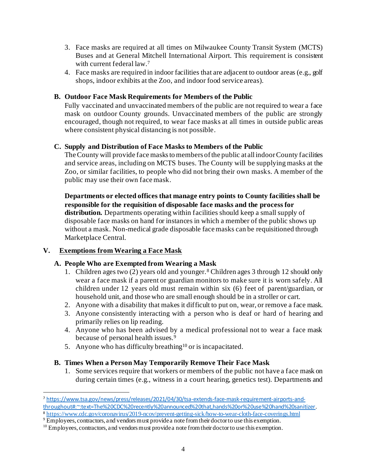- 3. Face masks are required at all times on Milwaukee County Transit System (MCTS) Buses and at General Mitchell International Airport. This requirement is consistent with current federal law. 7
- 4. Face masks are required in indoor facilities that are adjacent to outdoor areas (e.g., golf shops, indoor exhibits at the Zoo, and indoor food service areas).

#### **B. Outdoor Face Mask Requirements for Members of the Public**

Fully vaccinated and unvaccinated members of the public are not required to wear a face mask on outdoor County grounds. Unvaccinated members of the public are strongly encouraged, though not required, to wear face masks at all times in outside public areas where consistent physical distancing is not possible.

#### **C. Supply and Distribution of Face Masks to Members of the Public**

The County will provide face masks to members of the public at all indoor County facilities and service areas, including on MCTS buses. The County will be supplying masks at the Zoo, or similar facilities, to people who did not bring their own masks. A member of the public may use their own face mask.

**Departments or elected offices that manage entry points to County facilities shall be responsible for the requisition of disposable face masks and the process for distribution.** Departments operating within facilities should keep a small supply of disposable face masks on hand for instances in which a member of the public shows up without a mask. Non-medical grade disposable face masks can be requisitioned through Marketplace Central.

### **V. Exemptions from Wearing a Face Mask**

### **A. People Who are Exempted from Wearing a Mask**

- 1. Children ages two (2) years old and younger.<sup>8</sup> Children ages 3 through 12 should only wear a face mask if a parent or guardian monitors to make sure it is worn safely. All children under 12 years old must remain within six (6) feet of parent/guardian, or household unit, and those who are small enough should be in a stroller or cart.
- 2. Anyone with a disability that makes it difficult to put on, wear, or remove a face mask.
- 3. Anyone consistently interacting with a person who is deaf or hard of hearing and primarily relies on lip reading.
- 4. Anyone who has been advised by a medical professional not to wear a face mask because of personal health issues.<sup>9</sup>
- 5. Anyone who has difficulty breathing<sup>10</sup> or is incapacitated.

### **B. Times When a Person May Temporarily Remove Their Face Mask**

1. Some services require that workers or members of the public not have a face mask on during certain times (e.g., witness in a court hearing, genetics test). Departments and

<sup>7</sup> [https://www.tsa.gov/news/press/releases/2021/04/30/tsa-extends-face-mask-requirement-airports-and](https://www.tsa.gov/news/press/releases/2021/04/30/tsa-extends-face-mask-requirement-airports-and-throughout#:~:text=The%20CDC%20recently%20announced%20that,hands%20or%20use%20hand%20sanitizer)[throughout#:~:text=The%20CDC%20recently%20announced%20that,hands%20or%20use%20hand%20sanitizer](https://www.tsa.gov/news/press/releases/2021/04/30/tsa-extends-face-mask-requirement-airports-and-throughout#:~:text=The%20CDC%20recently%20announced%20that,hands%20or%20use%20hand%20sanitizer). <sup>8</sup> <https://www.cdc.gov/coronavirus/2019-ncov/prevent-getting-sick/how-to-wear-cloth-face-coverings.html>

<sup>&</sup>lt;sup>9</sup> Employees, contractors, and vendors must provide a note from their doctor to use this exemption.

 $10$  Employees, contractors, and vendors must provide a note from their doctor to use this exemption.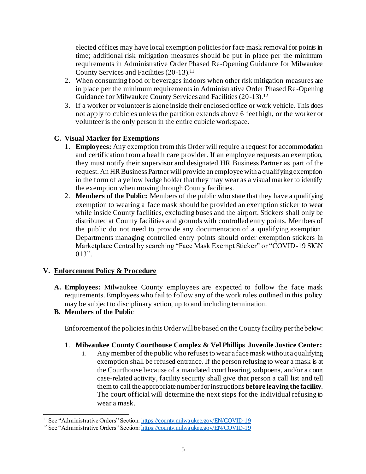elected offices may have local exemption policies for face mask removal for points in time; additional risk mitigation measures should be put in place per the minimum requirements in Administrative Order Phased Re-Opening Guidance for Milwaukee County Services and Facilities (20-13).<sup>11</sup>

- 2. When consuming food or beverages indoors when other risk mitigation measures are in place per the minimum requirements in Administrative Order Phased Re-Opening Guidance for Milwaukee County Services and Facilities (20-13). 12
- 3. If a worker or volunteer is alone inside their enclosed office or work vehicle. This does not apply to cubicles unless the partition extends above 6 feet high, or the worker or volunteer is the only person in the entire cubicle workspace.

## **C. Visual Marker for Exemptions**

- 1. **Employees:** Any exemption from this Order will require a request for accommodation and certification from a health care provider. If an employee requests an exemption, they must notify their supervisor and designated HR Business Partner as part of the request. An HR Business Partner will provide an employee with a qualifying exemption in the form of a yellow badge holder that they may wear as a visual marker to identify the exemption when moving through County facilities.
- 2. **Members of the Public:** Members of the public who state that they have a qualifying exemption to wearing a face mask should be provided an exemption sticker to wear while inside County facilities, excluding buses and the airport. Stickers shall only be distributed at County facilities and grounds with controlled entry points. Members of the public do not need to provide any documentation of a qualifying exemption. Departments managing controlled entry points should order exemption stickers in Marketplace Central by searching "Face Mask Exempt Sticker" or "COVID-19 SIGN 013".

### **V. Enforcement Policy & Procedure**

**A. Employees:** Milwaukee County employees are expected to follow the face mask requirements. Employees who fail to follow any of the work rules outlined in this policy may be subject to disciplinary action, up to and including termination.

### **B. Members of the Public**

Enforcement of the policies in this Order will be based on the County facility per the below:

- 1. **Milwaukee County Courthouse Complex & Vel Phillips Juvenile Justice Center:**
	- i. Any member of the public who refuses to wear a face mask without a qualifying exemption shall be refused entrance. If the person refusing to wear a mask is at the Courthouse because of a mandated court hearing, subpoena, and/or a court case-related activity, facility security shall give that person a call list and tell them to call the appropriate number for instructions **before leaving the facility**. The court official will determine the next steps for the individual refusing to wear a mask.

<sup>&</sup>lt;sup>11</sup> See "Administrative Orders" Section[: https://county.milwaukee.gov/EN/COVID-19](https://county.milwaukee.gov/EN/COVID-19)

<sup>&</sup>lt;sup>12</sup> See "Administrative Orders" Section[: https://county.milwaukee.gov/EN/COVID-19](https://county.milwaukee.gov/EN/COVID-19)